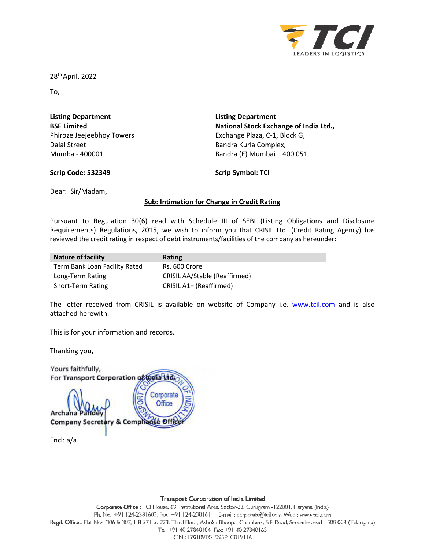

28th April, 2022

To,

| <b>Listing Department</b> |  |  |  |  |
|---------------------------|--|--|--|--|
| <b>BSE Limited</b>        |  |  |  |  |
| Phiroze Jeejeebhoy Towers |  |  |  |  |
| Dalal Street -            |  |  |  |  |
| Mumbai- 400001            |  |  |  |  |

**Listing Department National Stock Exchange of India Ltd.,**  Exchange Plaza, C-1, Block G, Bandra Kurla Complex, Bandra (E) Mumbai – 400 051

## **Scrip Code: 532349**

**Scrip Symbol: TCI** 

Dear: Sir/Madam,

# **Sub: Intimation for Change in Credit Rating**

Pursuant to Regulation 30(6) read with Schedule III of SEBI (Listing Obligations and Disclosure Requirements) Regulations, 2015, we wish to inform you that CRISIL Ltd. (Credit Rating Agency) has reviewed the credit rating in respect of debt instruments/facilities of the company as hereunder:

| <b>Nature of facility</b>     | Rating                               |
|-------------------------------|--------------------------------------|
| Term Bank Loan Facility Rated | Rs. 600 Crore                        |
| Long-Term Rating              | <b>CRISIL AA/Stable (Reaffirmed)</b> |
| <b>Short-Term Rating</b>      | CRISIL A1+ (Reaffirmed)              |

The letter received from CRISIL is available on website of Company i.e. www.tcil.com and is also attached herewith.

This is for your information and records.

Thanking you,

| Yours faithfully,                                                                       |
|-----------------------------------------------------------------------------------------|
| For Transport Corporation of India Ltd                                                  |
| Corporate<br>Office<br><b>Archana Pande</b><br><b>Company Secretary &amp; Comphance</b> |
| Encl: $a/a$                                                                             |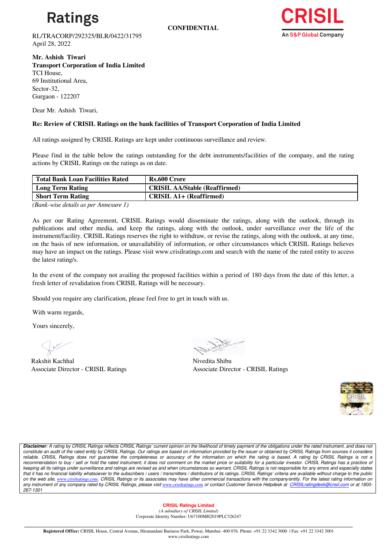

**CONFIDENTIAL**



RL/TRACORP/292325/BLR/0422/31795 April 28, 2022

**Mr. Ashish Tiwari Transport Corporation of India Limited** TCI House, 69 Institutional Area, Sector-32, Gurgaon - 122207

Dear Mr. Ashish Tiwari,

### **Re: Review of CRISIL Ratings on the bank facilities of Transport Corporation of India Limited**

All ratings assigned by CRISIL Ratings are kept under continuous surveillance and review.

Please find in the table below the ratings outstanding for the debt instruments/facilities of the company, and the rating actions by CRISIL Ratings on the ratings as on date.

| <b>Total Bank Loan Facilities Rated</b> | Rs.600 Crore                         |
|-----------------------------------------|--------------------------------------|
| Long Term Rating                        | <b>CRISIL AA/Stable (Reaffirmed)</b> |
| <b>Short Term Rating</b>                | <b>CRISIL A1+ (Reaffirmed)</b>       |
|                                         |                                      |

*(Bank-wise details as per Annexure 1)*

As per our Rating Agreement, CRISIL Ratings would disseminate the ratings, along with the outlook, through its publications and other media, and keep the ratings, along with the outlook, under surveillance over the life of the instrument/facility. CRISIL Ratings reserves the right to withdraw, or revise the ratings, along with the outlook, at any time, on the basis of new information, or unavailability of information, or other circumstances which CRISIL Ratings believes may have an impact on the ratings. Please visit www.crisilratings.com and search with the name of the rated entity to access the latest rating/s.

In the event of the company not availing the proposed facilities within a period of 180 days from the date of this letter, a fresh letter of revalidation from CRISIL Ratings will be necessary.

Should you require any clarification, please feel free to get in touch with us.

With warm regards,

Yours sincerely,

Rakshit Kachhal Nivedita Shibu Associate Director - CRISIL Ratings Associate Director - CRISIL Ratings



**Disclaimer**: A rating by CRISIL Ratings reflects CRISIL Ratings' current opinion on the likelihood of timely payment of the obligations under the rated instrument, and does not constitute an audit of the rated entity by CRISIL Ratings. Our ratings are based on information provided by the issuer or obtained by CRISIL Ratings from sources it considers reliable. CRISIL Ratings does not guarantee the completeness or accuracy of the information on which the rating is based. A rating by CRISIL Ratings is not a recommendation to buy / sell or hold the rated instrument; it does not comment on the market price or suitability for a particular investor. CRISIL Ratings has a practice of keeping all its ratings under surveillance and ratings are revised as and when circumstances so warrant. CRISIL Ratings is not responsible for any errors and especially states that it has no financial liability whatsoever to the subscribers / users / transmitters / distributors of its ratings. CRISIL Ratings' criteria are available without charge to the public on the web site, www.crisilratings.com. CRISIL Ratings or its associates may have other commercial transactions with the company/entity. For the latest rating information on any instrument of any company rated by CRISIL Ratings, please visit www.crisilratings.com or contact Customer Service Helpdesk at CRISILratingdesk@crisil.com or at 1800-267-1301

#### **CRISIL Ratings Limited**

*(A subsidiary of CRISIL Limited)*  Corporate Identity Number: U67100MH2019PLC326247